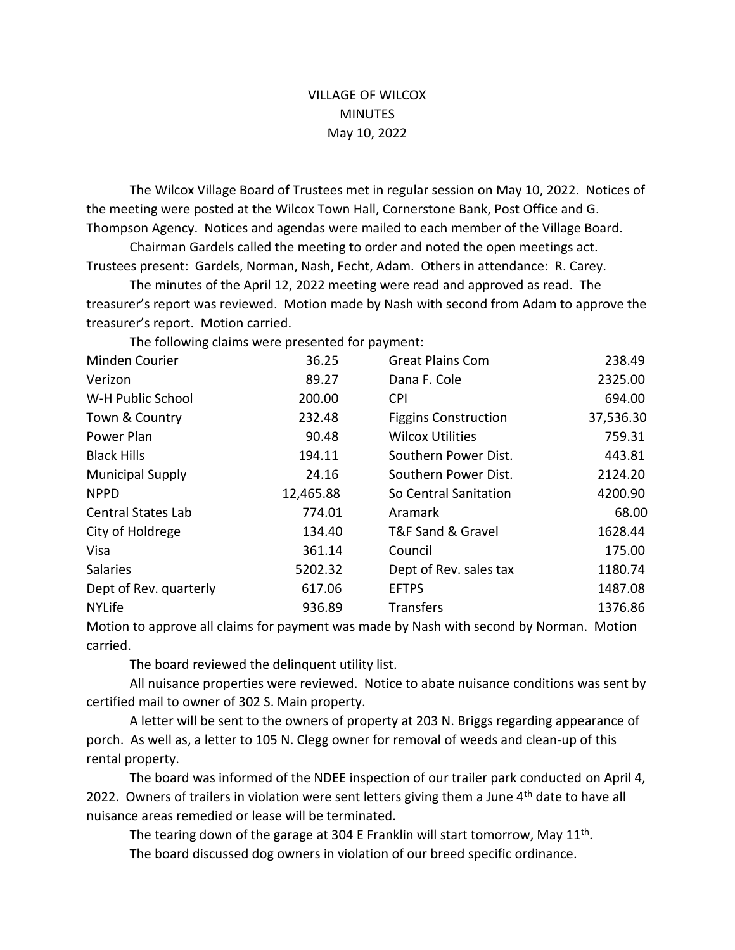## VILLAGE OF WILCOX **MINUTES** May 10, 2022

The Wilcox Village Board of Trustees met in regular session on May 10, 2022. Notices of the meeting were posted at the Wilcox Town Hall, Cornerstone Bank, Post Office and G. Thompson Agency. Notices and agendas were mailed to each member of the Village Board.

Chairman Gardels called the meeting to order and noted the open meetings act. Trustees present: Gardels, Norman, Nash, Fecht, Adam. Others in attendance: R. Carey.

The minutes of the April 12, 2022 meeting were read and approved as read. The treasurer's report was reviewed. Motion made by Nash with second from Adam to approve the treasurer's report. Motion carried.

The following claims were presented for payment:

| Minden Courier            | 36.25     | <b>Great Plains Com</b>     | 238.49    |
|---------------------------|-----------|-----------------------------|-----------|
| Verizon                   | 89.27     | Dana F. Cole                | 2325.00   |
| W-H Public School         | 200.00    | <b>CPI</b>                  | 694.00    |
| Town & Country            | 232.48    | <b>Figgins Construction</b> | 37,536.30 |
| Power Plan                | 90.48     | <b>Wilcox Utilities</b>     | 759.31    |
| <b>Black Hills</b>        | 194.11    | Southern Power Dist.        | 443.81    |
| <b>Municipal Supply</b>   | 24.16     | Southern Power Dist.        | 2124.20   |
| <b>NPPD</b>               | 12,465.88 | So Central Sanitation       | 4200.90   |
| <b>Central States Lab</b> | 774.01    | Aramark                     | 68.00     |
| City of Holdrege          | 134.40    | T&F Sand & Gravel           | 1628.44   |
| Visa                      | 361.14    | Council                     | 175.00    |
| <b>Salaries</b>           | 5202.32   | Dept of Rev. sales tax      | 1180.74   |
| Dept of Rev. quarterly    | 617.06    | <b>EFTPS</b>                | 1487.08   |
| <b>NYLife</b>             | 936.89    | <b>Transfers</b>            | 1376.86   |

Motion to approve all claims for payment was made by Nash with second by Norman. Motion carried.

The board reviewed the delinquent utility list.

All nuisance properties were reviewed. Notice to abate nuisance conditions was sent by certified mail to owner of 302 S. Main property.

A letter will be sent to the owners of property at 203 N. Briggs regarding appearance of porch. As well as, a letter to 105 N. Clegg owner for removal of weeds and clean-up of this rental property.

The board was informed of the NDEE inspection of our trailer park conducted on April 4, 2022. Owners of trailers in violation were sent letters giving them a June 4<sup>th</sup> date to have all nuisance areas remedied or lease will be terminated.

The tearing down of the garage at 304 E Franklin will start tomorrow, May 11<sup>th</sup>. The board discussed dog owners in violation of our breed specific ordinance.